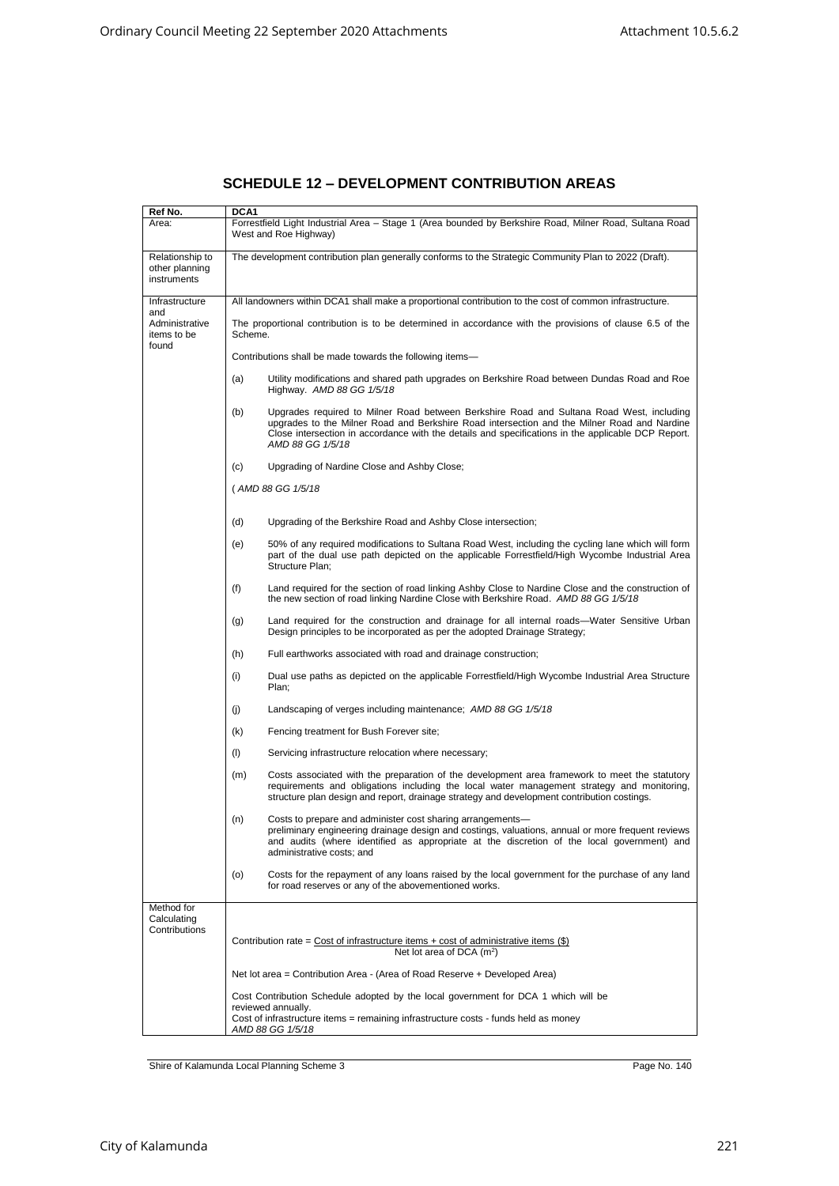| Ref No.                                          | DCA1                                                                                                                                                                                                                                                                                                                     |
|--------------------------------------------------|--------------------------------------------------------------------------------------------------------------------------------------------------------------------------------------------------------------------------------------------------------------------------------------------------------------------------|
| Area:                                            | Forrestfield Light Industrial Area - Stage 1 (Area bounded by Berkshire Road, Milner Road, Sultana Road<br>West and Roe Highway)                                                                                                                                                                                         |
| Relationship to<br>other planning<br>instruments | The development contribution plan generally conforms to the Strategic Community Plan to 2022 (Draft).                                                                                                                                                                                                                    |
| Infrastructure                                   | All landowners within DCA1 shall make a proportional contribution to the cost of common infrastructure.                                                                                                                                                                                                                  |
| and<br>Administrative<br>items to be<br>found    | The proportional contribution is to be determined in accordance with the provisions of clause 6.5 of the<br>Scheme.                                                                                                                                                                                                      |
|                                                  | Contributions shall be made towards the following items-                                                                                                                                                                                                                                                                 |
|                                                  | (a)<br>Utility modifications and shared path upgrades on Berkshire Road between Dundas Road and Roe<br>Highway. AMD 88 GG 1/5/18                                                                                                                                                                                         |
|                                                  | (b)<br>Upgrades required to Milner Road between Berkshire Road and Sultana Road West, including<br>upgrades to the Milner Road and Berkshire Road intersection and the Milner Road and Nardine<br>Close intersection in accordance with the details and specifications in the applicable DCP Report.<br>AMD 88 GG 1/5/18 |
|                                                  | (c)<br>Upgrading of Nardine Close and Ashby Close;                                                                                                                                                                                                                                                                       |
|                                                  | (AMD 88 GG 1/5/18                                                                                                                                                                                                                                                                                                        |
|                                                  | (d)<br>Upgrading of the Berkshire Road and Ashby Close intersection;                                                                                                                                                                                                                                                     |
|                                                  | (e)<br>50% of any required modifications to Sultana Road West, including the cycling lane which will form<br>part of the dual use path depicted on the applicable Forrestfield/High Wycombe Industrial Area<br>Structure Plan:                                                                                           |
|                                                  | (f)<br>Land required for the section of road linking Ashby Close to Nardine Close and the construction of<br>the new section of road linking Nardine Close with Berkshire Road. AMD 88 GG 1/5/18                                                                                                                         |
|                                                  | Land required for the construction and drainage for all internal roads—Water Sensitive Urban<br>(g)<br>Design principles to be incorporated as per the adopted Drainage Strategy;                                                                                                                                        |
|                                                  | (h)<br>Full earthworks associated with road and drainage construction;                                                                                                                                                                                                                                                   |
|                                                  | (i)<br>Dual use paths as depicted on the applicable Forrestfield/High Wycombe Industrial Area Structure<br>Plan;                                                                                                                                                                                                         |
|                                                  | (i)<br>Landscaping of verges including maintenance; AMD 88 GG 1/5/18                                                                                                                                                                                                                                                     |
|                                                  | (k)<br>Fencing treatment for Bush Forever site;                                                                                                                                                                                                                                                                          |
|                                                  | (1)<br>Servicing infrastructure relocation where necessary;                                                                                                                                                                                                                                                              |
|                                                  | (m)<br>Costs associated with the preparation of the development area framework to meet the statutory<br>requirements and obligations including the local water management strategy and monitoring,<br>structure plan design and report, drainage strategy and development contribution costings.                         |
|                                                  | (n)<br>Costs to prepare and administer cost sharing arrangements—<br>preliminary engineering drainage design and costings, valuations, annual or more frequent reviews<br>and audits (where identified as appropriate at the discretion of the local government) and<br>administrative costs; and                        |
|                                                  | (o)<br>Costs for the repayment of any loans raised by the local government for the purchase of any land<br>for road reserves or any of the abovementioned works.                                                                                                                                                         |
| Method for<br>Calculating<br>Contributions       | Contribution rate = $Cost of$ infrastructure items + cost of administrative items $(\$)$<br>Net lot area of DCA $(m^2)$                                                                                                                                                                                                  |
|                                                  | Net lot area = Contribution Area - (Area of Road Reserve + Developed Area)                                                                                                                                                                                                                                               |
|                                                  | Cost Contribution Schedule adopted by the local government for DCA 1 which will be<br>reviewed annually.                                                                                                                                                                                                                 |
|                                                  | Cost of infrastructure items = remaining infrastructure costs - funds held as money<br>AMD 88 GG 1/5/18                                                                                                                                                                                                                  |

## **SCHEDULE 12 – DEVELOPMENT CONTRIBUTION AREAS**

Shire of Kalamunda Local Planning Scheme 3 Page No. 140